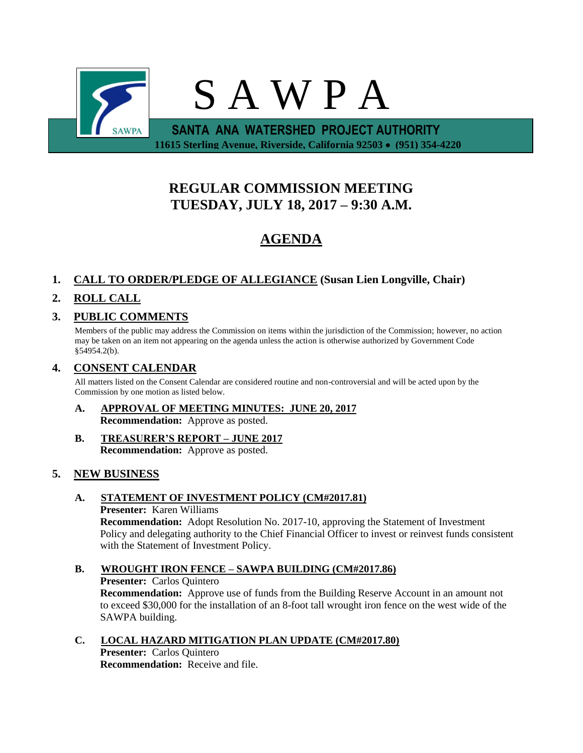

# **REGULAR COMMISSION MEETING TUESDAY, JULY 18, 2017 – 9:30 A.M.**

# **AGENDA**

## **1. CALL TO ORDER/PLEDGE OF ALLEGIANCE (Susan Lien Longville, Chair)**

## **2. ROLL CALL**

## **3. PUBLIC COMMENTS**

Members of the public may address the Commission on items within the jurisdiction of the Commission; however, no action may be taken on an item not appearing on the agenda unless the action is otherwise authorized by Government Code §54954.2(b).

## **4. CONSENT CALENDAR**

All matters listed on the Consent Calendar are considered routine and non-controversial and will be acted upon by the Commission by one motion as listed below.

- **A. APPROVAL OF MEETING MINUTES: JUNE 20, 2017 Recommendation:** Approve as posted.
- **B. TREASURER'S REPORT – JUNE 2017 Recommendation:** Approve as posted.

## **5. NEW BUSINESS**

**A. STATEMENT OF INVESTMENT POLICY (CM#2017.81)**

## **Presenter:** Karen Williams

**Recommendation:** Adopt Resolution No. 2017-10, approving the Statement of Investment Policy and delegating authority to the Chief Financial Officer to invest or reinvest funds consistent with the Statement of Investment Policy.

## **B. WROUGHT IRON FENCE – SAWPA BUILDING (CM#2017.86) Presenter:** Carlos Quintero **Recommendation:** Approve use of funds from the Building Reserve Account in an amount not to exceed \$30,000 for the installation of an 8-foot tall wrought iron fence on the west wide of the SAWPA building.

**C. LOCAL HAZARD MITIGATION PLAN UPDATE (CM#2017.80) Presenter:** Carlos Quintero **Recommendation:** Receive and file.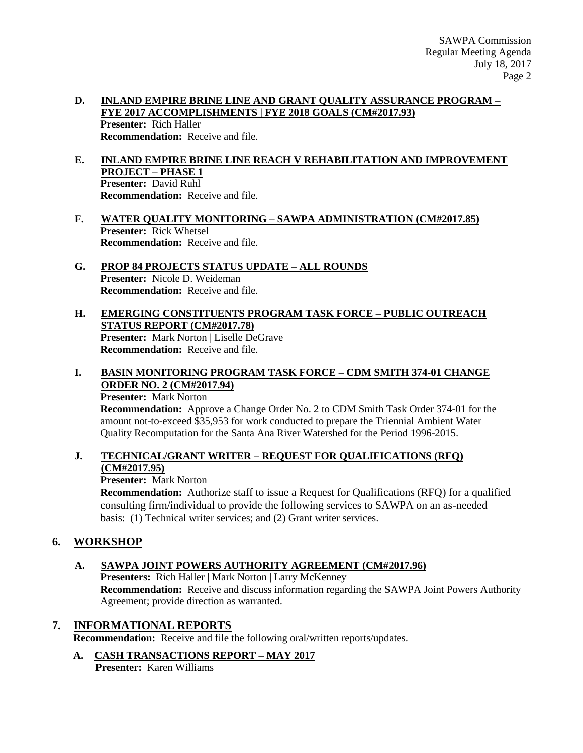### **D. INLAND EMPIRE BRINE LINE AND GRANT QUALITY ASSURANCE PROGRAM – FYE 2017 ACCOMPLISHMENTS | FYE 2018 GOALS (CM#2017.93) Presenter:** Rich Haller **Recommendation:** Receive and file.

- **E. INLAND EMPIRE BRINE LINE REACH V REHABILITATION AND IMPROVEMENT PROJECT – PHASE 1 Presenter:** David Ruhl **Recommendation:** Receive and file.
- **F. WATER QUALITY MONITORING – SAWPA ADMINISTRATION (CM#2017.85) Presenter:** Rick Whetsel **Recommendation:** Receive and file.
- **G. PROP 84 PROJECTS STATUS UPDATE – ALL ROUNDS Presenter:** Nicole D. Weideman **Recommendation:** Receive and file.
- **H. EMERGING CONSTITUENTS PROGRAM TASK FORCE – PUBLIC OUTREACH STATUS REPORT (CM#2017.78) Presenter:** Mark Norton | Liselle DeGrave **Recommendation:** Receive and file.

## **I. BASIN MONITORING PROGRAM TASK FORCE – CDM SMITH 374-01 CHANGE ORDER NO. 2 (CM#2017.94)**

**Presenter:** Mark Norton

**Recommendation:** Approve a Change Order No. 2 to CDM Smith Task Order 374-01 for the amount not-to-exceed \$35,953 for work conducted to prepare the Triennial Ambient Water Quality Recomputation for the Santa Ana River Watershed for the Period 1996-2015.

## **J. TECHNICAL/GRANT WRITER – REQUEST FOR QUALIFICATIONS (RFQ) (CM#2017.95)**

### **Presenter:** Mark Norton

**Recommendation:** Authorize staff to issue a Request for Qualifications (RFQ) for a qualified consulting firm/individual to provide the following services to SAWPA on an as-needed basis: (1) Technical writer services; and (2) Grant writer services.

## **6. WORKSHOP**

## **A. SAWPA JOINT POWERS AUTHORITY AGREEMENT (CM#2017.96)**

**Presenters:** Rich Haller | Mark Norton | Larry McKenney **Recommendation:** Receive and discuss information regarding the SAWPA Joint Powers Authority Agreement; provide direction as warranted.

## **7. INFORMATIONAL REPORTS**

**Recommendation:** Receive and file the following oral/written reports/updates.

## **A. CASH TRANSACTIONS REPORT – MAY 2017**

**Presenter:** Karen Williams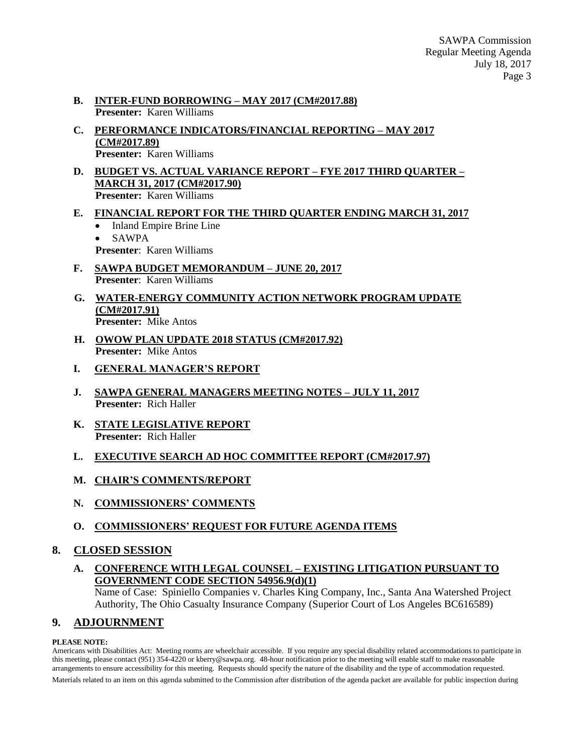- **B. INTER-FUND BORROWING – MAY 2017 (CM#2017.88) Presenter:** Karen Williams
- **C. PERFORMANCE INDICATORS/FINANCIAL REPORTING – MAY 2017 (CM#2017.89) Presenter:** Karen Williams
- **D. BUDGET VS. ACTUAL VARIANCE REPORT – FYE 2017 THIRD QUARTER – MARCH 31, 2017 (CM#2017.90) Presenter:** Karen Williams
- **E. FINANCIAL REPORT FOR THE THIRD QUARTER ENDING MARCH 31, 2017**
	- Inland Empire Brine Line
	- SAWPA
	- **Presenter**: Karen Williams
- **F. SAWPA BUDGET MEMORANDUM – JUNE 20, 2017 Presenter**: Karen Williams
- **G. WATER-ENERGY COMMUNITY ACTION NETWORK PROGRAM UPDATE (CM#2017.91) Presenter:** Mike Antos
- **H. OWOW PLAN UPDATE 2018 STATUS (CM#2017.92) Presenter:** Mike Antos
- **I. GENERAL MANAGER'S REPORT**
- **J. SAWPA GENERAL MANAGERS MEETING NOTES – JULY 11, 2017 Presenter:** Rich Haller
- **K. STATE LEGISLATIVE REPORT Presenter:** Rich Haller
- **L. EXECUTIVE SEARCH AD HOC COMMITTEE REPORT (CM#2017.97)**
- **M. CHAIR'S COMMENTS/REPORT**
- **N. COMMISSIONERS' COMMENTS**
- **O. COMMISSIONERS' REQUEST FOR FUTURE AGENDA ITEMS**

## **8. CLOSED SESSION**

**A. CONFERENCE WITH LEGAL COUNSEL – EXISTING LITIGATION PURSUANT TO GOVERNMENT CODE SECTION 54956.9(d)(1)**

Name of Case: Spiniello Companies v. Charles King Company, Inc., Santa Ana Watershed Project Authority, The Ohio Casualty Insurance Company (Superior Court of Los Angeles BC616589)

# **9. ADJOURNMENT**

#### **PLEASE NOTE:**

Americans with Disabilities Act: Meeting rooms are wheelchair accessible. If you require any special disability related accommodations to participate in this meeting, please contact (951) 354-4220 or kberry@sawpa.org. 48-hour notification prior to the meeting will enable staff to make reasonable arrangements to ensure accessibility for this meeting. Requests should specify the nature of the disability and the type of accommodation requested. Materials related to an item on this agenda submitted to the Commission after distribution of the agenda packet are available for public inspection during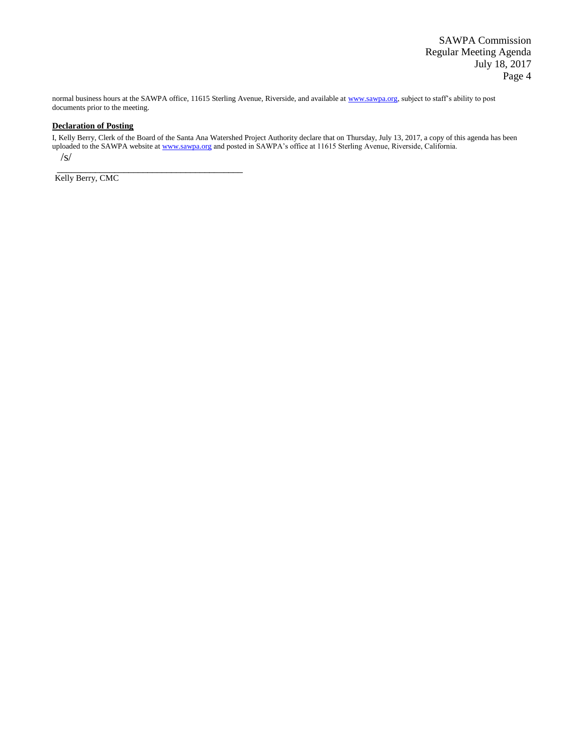SAWPA Commission Regular Meeting Agenda July 18, 2017 Page 4

normal business hours at the SAWPA office, 11615 Sterling Avenue, Riverside, and available a[t www.sawpa.org,](http://www.sawpa.org/) subject to staff's ability to post documents prior to the meeting.

#### **Declaration of Posting**

I, Kelly Berry, Clerk of the Board of the Santa Ana Watershed Project Authority declare that on Thursday, July 13, 2017, a copy of this agenda has been uploaded to the SAWPA website a[t www.sawpa.org](http://www.sawpa.org/) and posted in SAWPA's office at 11615 Sterling Avenue, Riverside, California.

 $\sqrt{s}$ 

Kelly Berry, CMC

\_\_\_\_\_\_\_\_\_\_\_\_\_\_\_\_\_\_\_\_\_\_\_\_\_\_\_\_\_\_\_\_\_\_\_\_\_\_\_